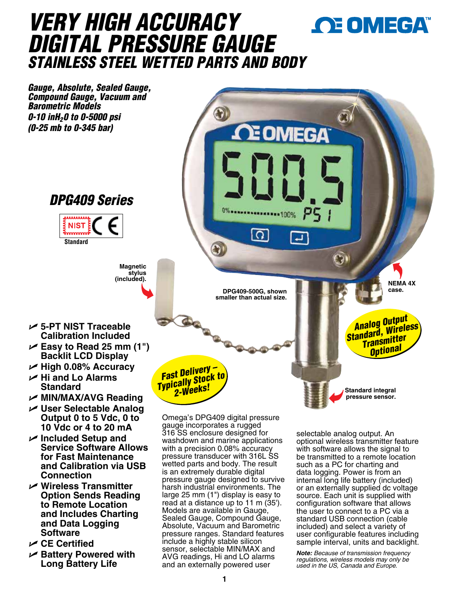# *VERY HIGH ACCURACY*  OE OMEGA *DIGITAL PRESSURE GAUGE STAINLESS STEEL WETTED PARTS AND BODY*

*Gauge, Absolute, Sealed Gauge, Compound Gauge, Vacuum and Barometric Models 0-10 inH20 to 0-5000 psi (0-25 mb to 0-345 bar)* E OMEGA *DPG409 Series* **INSERTIACO NIST** .<br>. . . . . . . . .  $\Omega$ **Standard**  $\mathbb{C}$ **Magnetic**  stylus<br>.(included) **(included). NEMA 4X DPG409-500G, shown case. Case. Case. Case. smaller than actual size.** *Analog Output Standard, Wireless*  U **5-PT NIST Traceable Calibration Included** *Transmitter*  U **Easy to Read 25 mm (1")**  *Optional* **Backlit LCD Display** *Fast Delivery – Typically Stock to*  **Standard** *2-Weeks!* **Standard integral**  U **MIN/MAX/AVG Reading pressure sensor.**

- 
- 
- U **High 0.08% Accuracy**
- U **Hi and Lo Alarms**
- 
- U **User Selectable Analog Output 0 to 5 Vdc, 0 to 10 Vdc or 4 to 20 mA**
- U **Included Setup and Service Software Allows for Fast Maintenance and Calibration via USB Connection**
- U **Wireless Transmitter Option Sends Reading to Remote Location and Includes Charting and Data Logging Software**
- U **CE Certified**
- U **Battery Powered with Long Battery Life**

Omega's DPG409 digital pressure gauge incorporates a rugged 316 SS enclosure designed for washdown and marine applications with a precision 0.08% accuracy pressure transducer with 316L SS wetted parts and body. The result is an extremely durable digital pressure gauge designed to survive harsh industrial environments. The large 25 mm (1") display is easy to read at a distance up to 11 m (35'). Models are available in Gauge, Sealed Gauge, Compound Gauge, Absolute, Vacuum and Barometric pressure ranges. Standard features include a highly stable silicon sensor, selectable MIN/MAX and AVG readings, Hi and LO alarms and an externally powered user

selectable analog output. An optional wireless transmitter feature with software allows the signal to be transmitted to a remote location such as a PC for charting and data logging. Power is from an internal long life battery (included) or an externally supplied dc voltage source. Each unit is supplied with configuration software that allows the user to connect to a PC via a standard USB connection (cable included) and select a variety of user configurable features including sample interval, units and backlight.

*Note: Because of transmission frequency regulations, wireless models may only be used in the US, Canada and Europe.*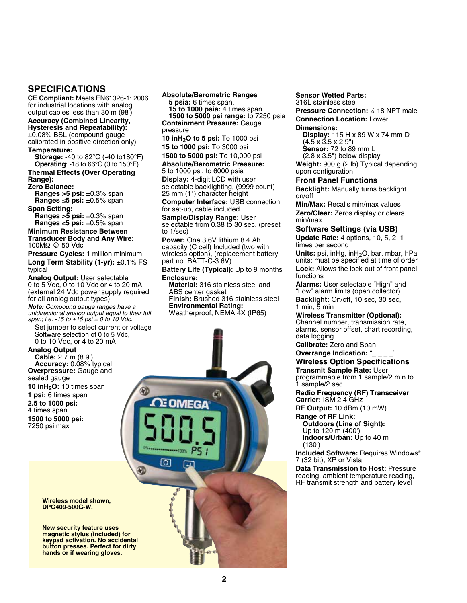# **SPECIFICATIONS**

**CE Compliant:** Meets EN61326-1: 2006 for industrial locations with analog output cables less than 30 m (98')

## **Accuracy (Combined Linearity,**

**Hysteresis and Repeatability):** ±0.08% BSL (compound gauge calibrated in positive direction only)

### **Temperature:**

**Storage:** -40 to 82°C (-40 to180°F) **Operating**: -18 to 66°C (0 to 150°F)

# **Thermal Effects (Over Operating**

**Range): Zero Balance: Ranges >5 psi:** ±0.3% span **Ranges** ≤**5 psi:** ±0.5% span

### **Span Setting:**

**Ranges >5 psi:** ±0.3% span **Ranges** ≤**5 psi:** ±0.5% span

#### **Minimum Resistance Between Transducer Body and Any Wire:** 100MΩ @ 50 Vdc

**Pressure Cycles:** 1 million minimum

**Long Term Stability (1-yr):** ±0.1% FS typical

**Analog Output:** User selectable 0 to 5 Vdc, 0 to 10 Vdc or 4 to 20 mA (external 24 Vdc power supply required for all analog output types)

*Note: Compound gauge ranges have a unidirectional analog output equal to their full span; i.e. -15 to +15 psi = 0 to 10 Vdc.*

 Set jumper to select current or voltage Software selection of 0 to 5 Vdc, 0 to 10 Vdc, or 4 to 20 mA

۵ñ

**OMEGA** 

កោ

## **Analog Output**

**Cable:** 2.7 m (8.9') **Accuracy:** 0.08% typical **Overpressure:** Gauge and sealed gauge **10 inH2O:** 10 times span **1 psi:** 6 times span **2.5 to 1000 psi:**

4 times span **1500 to 5000 psi:** 7250 psi max

#### **Wireless model shown, DPG409-500G-W.**

**New security feature uses magnetic stylus (included) for keypad activation. No accidental button presses. Perfect for dirty hands or if wearing gloves.**

#### **Absolute/Barometric Ranges**

**5 psia:** 6 times span, **15 to 1000 psia:** 4 times span

**1500 to 5000 psi range:** to 7250 psia **Containment Pressure:** Gauge pressure

**10 inH2O to 5 psi:** To 1000 psi **15 to 1000 psi:** To 3000 psi

## **1500 to 5000 psi:** To 10,000 psi

**Absolute/Barometric Pressure:**

5 to 1000 psi: to 6000 psia **Display:** 4-digit LCD with user selectable backlighting, (9999 count) 25 mm (1") character height

**Computer Interface:** USB connection for set-up, cable included

**Sample/Display Range:** User selectable from 0.38 to 30 sec. (preset to 1/sec)

**Power:** One 3.6V lithium 8.4 Ah capacity (C cell) Included (two with wireless option), (replacement battery part no. BATT-C-3.6V)

**Battery Life (Typical):** Up to 9 months **Enclosure:** 

**Material:** 316 stainless steel and ABS center gasket **Finish:** Brushed 316 stainless steel **Environmental Rating:** Weatherproof, NEMA 4X (IP65)

**Sensor Wetted Parts:** 316L stainless steel

**Pressure Connection: 1/4-18 NPT male Connection Location:** Lower **Dimensions:**

**Display:** 115 H x 89 W x 74 mm D (4.5 x 3.5 x 2.9") **Sensor:** 72 to 89 mm L (2.8 x 3.5") below display

**Weight:** 900 g (2 lb) Typical depending upon configuration

## **Front Panel Functions**

**Backlight:** Manually turns backlight on/off

**Min/Max:** Recalls min/max values **Zero/Clear:** Zeros display or clears min/max

## **Software Settings (via USB)**

**Update Rate:** 4 options, 10, 5, 2, 1 times per second

**Units:** psi, inHg, inH<sub>2</sub>O, bar, mbar, hPa units; must be specified at time of order **Lock:** Allows the lock-out of front panel functions

**Alarms:** User selectable "High" and "Low" alarm limits (open collector) **Backlight:** On/off, 10 sec, 30 sec, 1 min, 5 min

**Wireless Transmitter (Optional):** Channel number, transmission rate, alarms, sensor offset, chart recording, data logging

**Calibrate:** Zero and Span

#### **Overrange Indication: "\_ Wireless Option Specifications**

**Transmit Sample Rate:** User

programmable from 1 sample/2 min to 1 sample/2 sec

**Radio Frequency (RF) Transceiver Carrier:** ISM 2.4 GHz

**RF Output:** 10 dBm (10 mW)

**Range of RF Link: Outdoors (Line of Sight):**

Up to 120 m (400') **Indoors/Urban:** Up to 40 m (130')

**Included Software:** Requires Windows® 7 (32 bit); XP or Vista

**Data Transmission to Host:** Pressure reading, ambient temperature reading, RF transmit strength and battery level